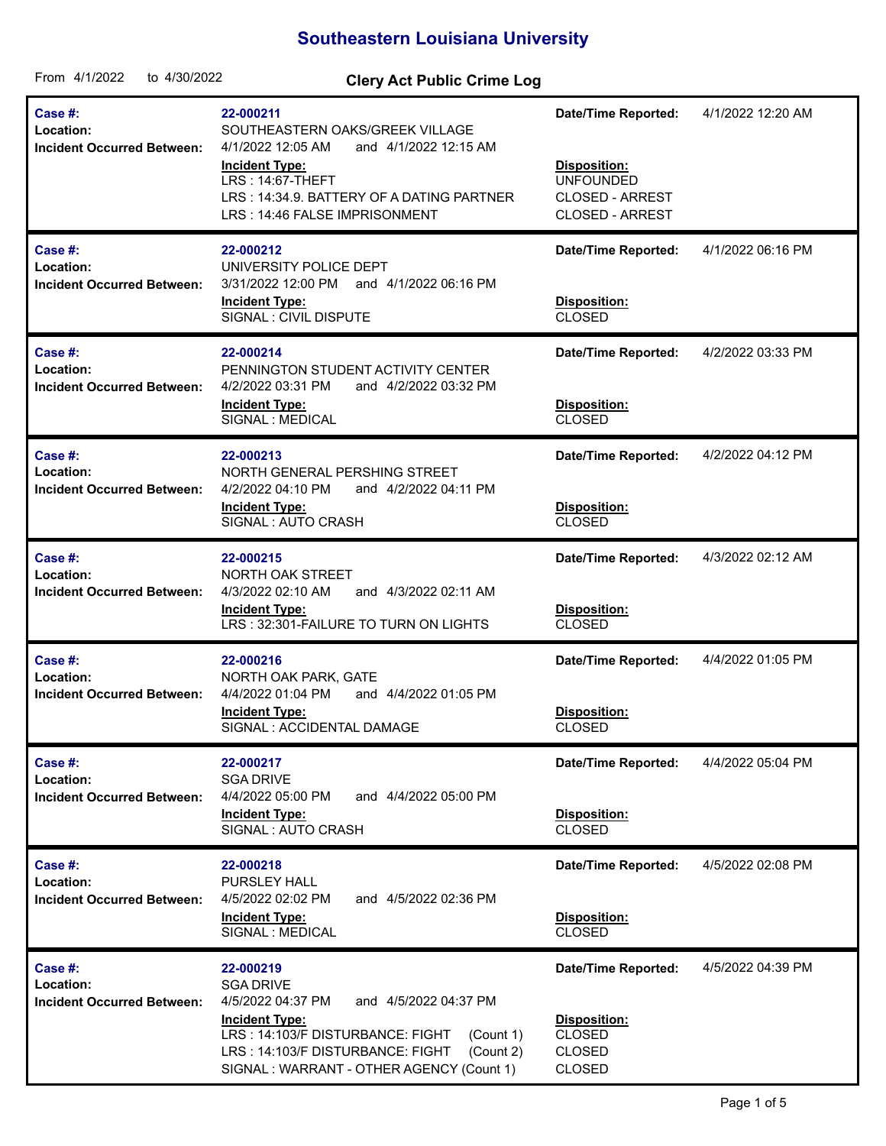## **Southeastern Louisiana University**

| From 4/1/2022<br>to 4/30/2022                                    | <b>Clery Act Public Crime Log</b>                                                                                                                                                                                                                   |                                                                                                                           |                   |
|------------------------------------------------------------------|-----------------------------------------------------------------------------------------------------------------------------------------------------------------------------------------------------------------------------------------------------|---------------------------------------------------------------------------------------------------------------------------|-------------------|
| <b>Case #:</b><br>Location:<br><b>Incident Occurred Between:</b> | 22-000211<br>SOUTHEASTERN OAKS/GREEK VILLAGE<br>4/1/2022 12:05 AM<br>and 4/1/2022 12:15 AM<br><b>Incident Type:</b><br>LRS: 14:67-THEFT<br>LRS: 14:34.9. BATTERY OF A DATING PARTNER<br>LRS: 14:46 FALSE IMPRISONMENT                               | <b>Date/Time Reported:</b><br><b>Disposition:</b><br><b>UNFOUNDED</b><br><b>CLOSED - ARREST</b><br><b>CLOSED - ARREST</b> | 4/1/2022 12:20 AM |
| Case #:<br>Location:<br><b>Incident Occurred Between:</b>        | 22-000212<br>UNIVERSITY POLICE DEPT<br>3/31/2022 12:00 PM<br>and 4/1/2022 06:16 PM<br><b>Incident Type:</b><br>SIGNAL : CIVIL DISPUTE                                                                                                               | <b>Date/Time Reported:</b><br>Disposition:<br><b>CLOSED</b>                                                               | 4/1/2022 06:16 PM |
| Case #:<br>Location:<br><b>Incident Occurred Between:</b>        | 22-000214<br>PENNINGTON STUDENT ACTIVITY CENTER<br>4/2/2022 03:31 PM<br>and 4/2/2022 03:32 PM<br><b>Incident Type:</b><br>SIGNAL : MEDICAL                                                                                                          | <b>Date/Time Reported:</b><br>Disposition:<br><b>CLOSED</b>                                                               | 4/2/2022 03:33 PM |
| Case #:<br>Location:<br><b>Incident Occurred Between:</b>        | 22-000213<br>NORTH GENERAL PERSHING STREET<br>4/2/2022 04:10 PM<br>and 4/2/2022 04:11 PM<br><b>Incident Type:</b><br>SIGNAL: AUTO CRASH                                                                                                             | <b>Date/Time Reported:</b><br>Disposition:<br><b>CLOSED</b>                                                               | 4/2/2022 04:12 PM |
| Case #:<br>Location:<br><b>Incident Occurred Between:</b>        | 22-000215<br>NORTH OAK STREET<br>4/3/2022 02:10 AM<br>and 4/3/2022 02:11 AM<br><b>Incident Type:</b><br>LRS: 32:301-FAILURE TO TURN ON LIGHTS                                                                                                       | <b>Date/Time Reported:</b><br>Disposition:<br><b>CLOSED</b>                                                               | 4/3/2022 02:12 AM |
| Case #:<br>Location:<br><b>Incident Occurred Between:</b>        | 22-000216<br>NORTH OAK PARK, GATE<br>4/4/2022 01:04 PM<br>and 4/4/2022 01:05 PM<br><b>Incident Type:</b><br>SIGNAL : ACCIDENTAL DAMAGE                                                                                                              | <b>Date/Time Reported:</b><br><b>Disposition:</b><br><b>CLOSED</b>                                                        | 4/4/2022 01:05 PM |
| Case #:<br>Location:<br><b>Incident Occurred Between:</b>        | 22-000217<br><b>SGA DRIVE</b><br>4/4/2022 05:00 PM<br>and 4/4/2022 05:00 PM<br><b>Incident Type:</b><br>SIGNAL: AUTO CRASH                                                                                                                          | <b>Date/Time Reported:</b><br><b>Disposition:</b><br><b>CLOSED</b>                                                        | 4/4/2022 05:04 PM |
| Case #:<br>Location:<br><b>Incident Occurred Between:</b>        | 22-000218<br><b>PURSLEY HALL</b><br>4/5/2022 02:02 PM<br>and 4/5/2022 02:36 PM<br><b>Incident Type:</b><br>SIGNAL : MEDICAL                                                                                                                         | <b>Date/Time Reported:</b><br>Disposition:<br><b>CLOSED</b>                                                               | 4/5/2022 02:08 PM |
| Case #:<br>Location:<br><b>Incident Occurred Between:</b>        | 22-000219<br><b>SGA DRIVE</b><br>4/5/2022 04:37 PM<br>and 4/5/2022 04:37 PM<br><b>Incident Type:</b><br>LRS: 14:103/F DISTURBANCE: FIGHT<br>(Count 1)<br>(Count 2)<br>LRS: 14:103/F DISTURBANCE: FIGHT<br>SIGNAL : WARRANT - OTHER AGENCY (Count 1) | <b>Date/Time Reported:</b><br>Disposition:<br><b>CLOSED</b><br><b>CLOSED</b><br><b>CLOSED</b>                             | 4/5/2022 04:39 PM |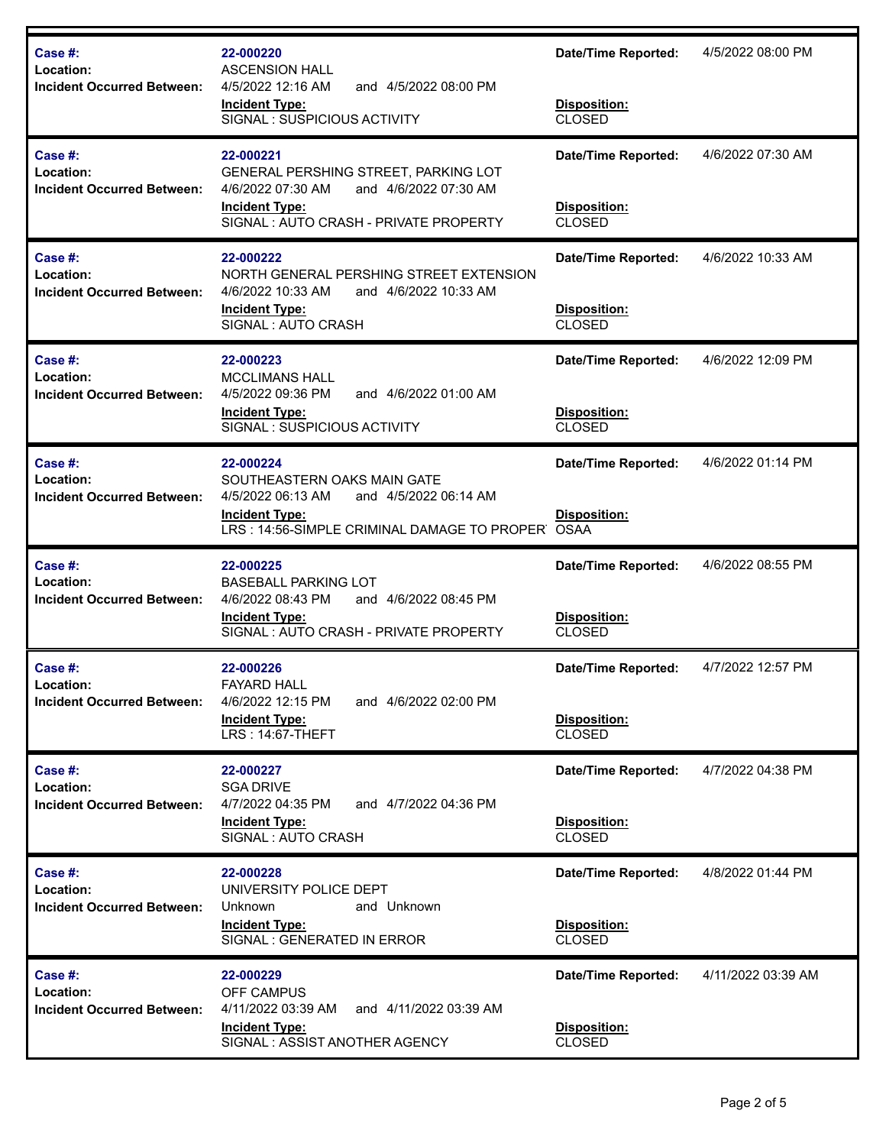| Case #:<br>Location:<br><b>Incident Occurred Between:</b> | 22-000220<br><b>ASCENSION HALL</b><br>4/5/2022 12:16 AM<br>and 4/5/2022 08:00 PM<br><b>Incident Type:</b>                   | <b>Date/Time Reported:</b><br>Disposition: | 4/5/2022 08:00 PM  |
|-----------------------------------------------------------|-----------------------------------------------------------------------------------------------------------------------------|--------------------------------------------|--------------------|
|                                                           | SIGNAL: SUSPICIOUS ACTIVITY                                                                                                 | <b>CLOSED</b>                              |                    |
| Case #:<br>Location:<br><b>Incident Occurred Between:</b> | 22-000221<br>GENERAL PERSHING STREET, PARKING LOT<br>4/6/2022 07:30 AM<br>and 4/6/2022 07:30 AM                             | <b>Date/Time Reported:</b>                 | 4/6/2022 07:30 AM  |
|                                                           | <b>Incident Type:</b><br>SIGNAL: AUTO CRASH - PRIVATE PROPERTY                                                              | Disposition:<br><b>CLOSED</b>              |                    |
| Case #:<br>Location:<br><b>Incident Occurred Between:</b> | 22-000222<br>NORTH GENERAL PERSHING STREET EXTENSION<br>4/6/2022 10:33 AM<br>and 4/6/2022 10:33 AM<br><b>Incident Type:</b> | <b>Date/Time Reported:</b><br>Disposition: | 4/6/2022 10:33 AM  |
|                                                           | SIGNAL: AUTO CRASH                                                                                                          | <b>CLOSED</b>                              |                    |
| Case #:<br>Location:                                      | 22-000223<br><b>MCCLIMANS HALL</b>                                                                                          | <b>Date/Time Reported:</b>                 | 4/6/2022 12:09 PM  |
| <b>Incident Occurred Between:</b>                         | 4/5/2022 09:36 PM<br>and 4/6/2022 01:00 AM<br><b>Incident Type:</b><br>SIGNAL: SUSPICIOUS ACTIVITY                          | Disposition:<br><b>CLOSED</b>              |                    |
| Case #:<br>Location:                                      | 22-000224<br>SOUTHEASTERN OAKS MAIN GATE                                                                                    | <b>Date/Time Reported:</b>                 | 4/6/2022 01:14 PM  |
| <b>Incident Occurred Between:</b>                         | 4/5/2022 06:13 AM<br>and 4/5/2022 06:14 AM<br><b>Incident Type:</b><br>LRS: 14:56-SIMPLE CRIMINAL DAMAGE TO PROPER OSAA     | Disposition:                               |                    |
| Case #:<br>Location:                                      | 22-000225<br><b>BASEBALL PARKING LOT</b>                                                                                    | Date/Time Reported:                        | 4/6/2022 08:55 PM  |
| <b>Incident Occurred Between:</b>                         | 4/6/2022 08:43 PM<br>and 4/6/2022 08:45 PM<br><b>Incident Type:</b><br>SIGNAL: AUTO CRASH - PRIVATE PROPERTY                | Disposition:<br><b>CLOSED</b>              |                    |
| Case #:<br>Location:                                      | 22-000226<br><b>FAYARD HALL</b>                                                                                             | <b>Date/Time Reported:</b>                 | 4/7/2022 12:57 PM  |
| <b>Incident Occurred Between:</b>                         | 4/6/2022 12:15 PM<br>and 4/6/2022 02:00 PM<br><b>Incident Type:</b><br><b>LRS: 14:67-THEFT</b>                              | Disposition:<br><b>CLOSED</b>              |                    |
| Case #:<br>Location:                                      | 22-000227<br><b>SGA DRIVE</b><br>4/7/2022 04:35 PM                                                                          | <b>Date/Time Reported:</b>                 | 4/7/2022 04:38 PM  |
| <b>Incident Occurred Between:</b>                         | and 4/7/2022 04:36 PM<br><b>Incident Type:</b><br>SIGNAL: AUTO CRASH                                                        | Disposition:<br><b>CLOSED</b>              |                    |
| Case #:<br>Location:                                      | 22-000228<br>UNIVERSITY POLICE DEPT                                                                                         | <b>Date/Time Reported:</b>                 | 4/8/2022 01:44 PM  |
| <b>Incident Occurred Between:</b>                         | Unknown<br>and Unknown<br><b>Incident Type:</b><br>SIGNAL : GENERATED IN ERROR                                              | Disposition:<br><b>CLOSED</b>              |                    |
| Case #:<br>Location:                                      | 22-000229<br>OFF CAMPUS                                                                                                     | <b>Date/Time Reported:</b>                 | 4/11/2022 03:39 AM |
| <b>Incident Occurred Between:</b>                         |                                                                                                                             |                                            |                    |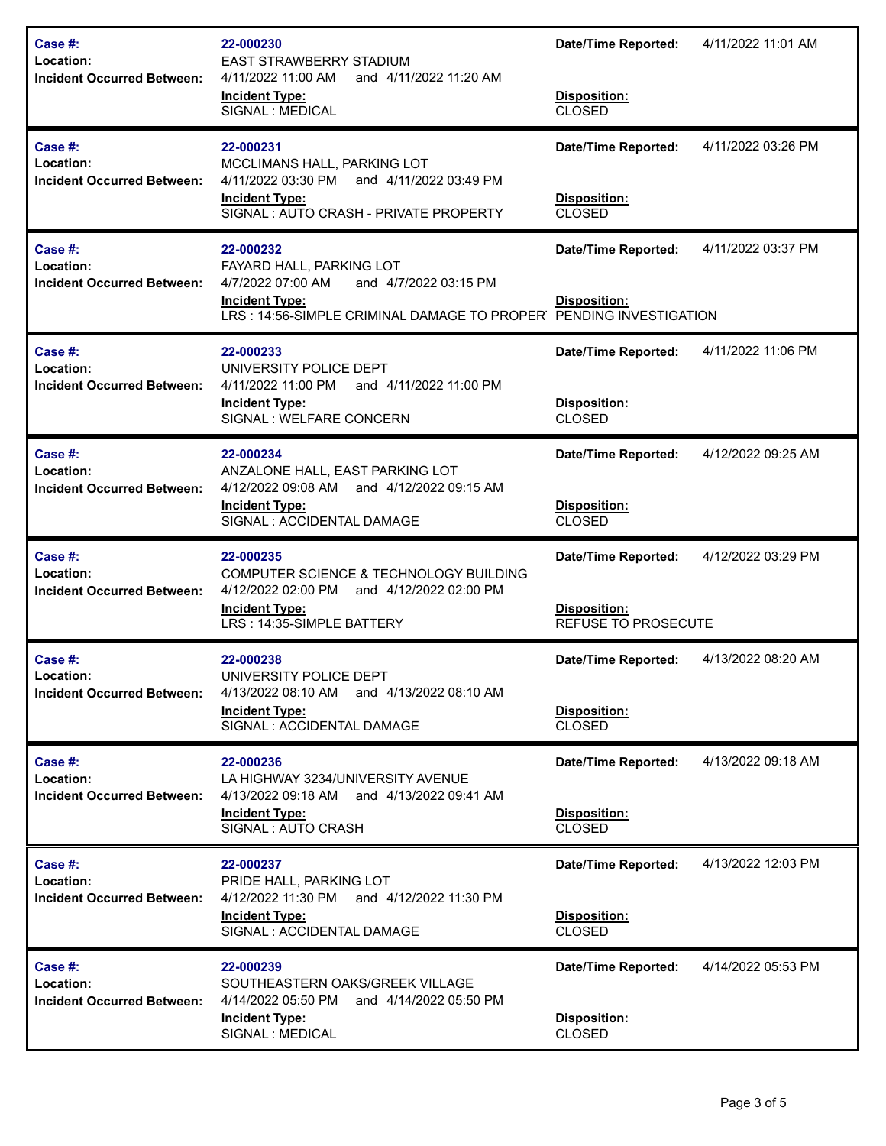| Case $#$ :<br>Location:<br><b>Incident Occurred Between:</b> | 22-000230<br><b>EAST STRAWBERRY STADIUM</b><br>4/11/2022 11:00 AM<br>and 4/11/2022 11:20 AM<br><b>Incident Type:</b><br>SIGNAL : MEDICAL                                          | <b>Date/Time Reported:</b><br>Disposition:<br><b>CLOSED</b>       | 4/11/2022 11:01 AM |
|--------------------------------------------------------------|-----------------------------------------------------------------------------------------------------------------------------------------------------------------------------------|-------------------------------------------------------------------|--------------------|
| Case #:<br>Location:<br><b>Incident Occurred Between:</b>    | 22-000231<br>MCCLIMANS HALL, PARKING LOT<br>4/11/2022 03:30 PM and 4/11/2022 03:49 PM<br><b>Incident Type:</b><br>SIGNAL: AUTO CRASH - PRIVATE PROPERTY                           | <b>Date/Time Reported:</b><br>Disposition:<br><b>CLOSED</b>       | 4/11/2022 03:26 PM |
| Case #:<br>Location:<br><b>Incident Occurred Between:</b>    | 22-000232<br>FAYARD HALL, PARKING LOT<br>4/7/2022 07:00 AM<br>and 4/7/2022 03:15 PM<br><b>Incident Type:</b><br>LRS: 14:56-SIMPLE CRIMINAL DAMAGE TO PROPER PENDING INVESTIGATION | <b>Date/Time Reported:</b><br>Disposition:                        | 4/11/2022 03:37 PM |
| Case #:<br>Location:<br><b>Incident Occurred Between:</b>    | 22-000233<br>UNIVERSITY POLICE DEPT<br>4/11/2022 11:00 PM<br>and 4/11/2022 11:00 PM<br><b>Incident Type:</b><br>SIGNAL: WELFARE CONCERN                                           | <b>Date/Time Reported:</b><br>Disposition:<br><b>CLOSED</b>       | 4/11/2022 11:06 PM |
| Case #:<br>Location:<br><b>Incident Occurred Between:</b>    | 22-000234<br>ANZALONE HALL, EAST PARKING LOT<br>4/12/2022 09:08 AM and 4/12/2022 09:15 AM<br><b>Incident Type:</b><br>SIGNAL : ACCIDENTAL DAMAGE                                  | <b>Date/Time Reported:</b><br>Disposition:<br><b>CLOSED</b>       | 4/12/2022 09:25 AM |
|                                                              |                                                                                                                                                                                   |                                                                   |                    |
| Case $#$ :<br>Location:<br><b>Incident Occurred Between:</b> | 22-000235<br>COMPUTER SCIENCE & TECHNOLOGY BUILDING<br>4/12/2022 02:00 PM<br>and 4/12/2022 02:00 PM<br><b>Incident Type:</b><br>LRS: 14:35-SIMPLE BATTERY                         | Date/Time Reported:<br><b>Disposition:</b><br>REFUSE TO PROSECUTE | 4/12/2022 03:29 PM |
| Case #:<br>Location:<br><b>Incident Occurred Between:</b>    | 22-000238<br>UNIVERSITY POLICE DEPT<br>4/13/2022 08:10 AM and 4/13/2022 08:10 AM<br><b>Incident Type:</b><br>SIGNAL : ACCIDENTAL DAMAGE                                           | <b>Date/Time Reported:</b><br>Disposition:<br><b>CLOSED</b>       | 4/13/2022 08:20 AM |
| Case #:<br>Location:<br><b>Incident Occurred Between:</b>    | 22-000236<br>LA HIGHWAY 3234/UNIVERSITY AVENUE<br>4/13/2022 09:18 AM and 4/13/2022 09:41 AM<br><b>Incident Type:</b><br>SIGNAL: AUTO CRASH                                        | <b>Date/Time Reported:</b><br>Disposition:<br><b>CLOSED</b>       | 4/13/2022 09:18 AM |
| Case #:<br>Location:<br><b>Incident Occurred Between:</b>    | 22-000237<br>PRIDE HALL, PARKING LOT<br>4/12/2022 11:30 PM<br>and 4/12/2022 11:30 PM<br><b>Incident Type:</b><br>SIGNAL : ACCIDENTAL DAMAGE                                       | <b>Date/Time Reported:</b><br>Disposition:<br><b>CLOSED</b>       | 4/13/2022 12:03 PM |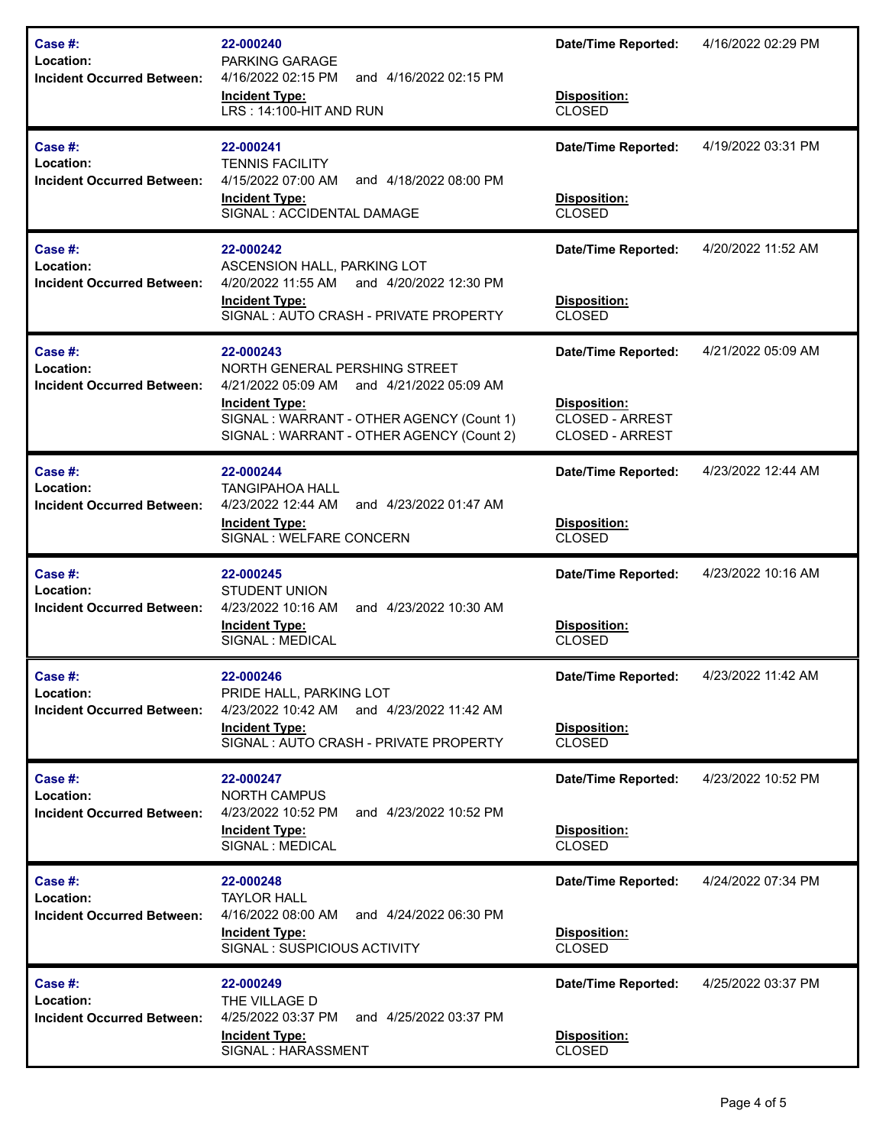| Case #:<br>Location:<br><b>Incident Occurred Between:</b>    | 22-000240<br><b>PARKING GARAGE</b><br>4/16/2022 02:15 PM<br>and 4/16/2022 02:15 PM<br><b>Incident Type:</b><br>LRS: 14:100-HIT AND RUN                                                                      | <b>Date/Time Reported:</b><br>Disposition:<br><b>CLOSED</b>                                           | 4/16/2022 02:29 PM |
|--------------------------------------------------------------|-------------------------------------------------------------------------------------------------------------------------------------------------------------------------------------------------------------|-------------------------------------------------------------------------------------------------------|--------------------|
| Case $#$ :<br>Location:<br><b>Incident Occurred Between:</b> | 22-000241<br><b>TENNIS FACILITY</b><br>4/15/2022 07:00 AM<br>and 4/18/2022 08:00 PM<br><b>Incident Type:</b><br>SIGNAL : ACCIDENTAL DAMAGE                                                                  | <b>Date/Time Reported:</b><br>Disposition:<br><b>CLOSED</b>                                           | 4/19/2022 03:31 PM |
| Case $#$ :<br>Location:<br><b>Incident Occurred Between:</b> | 22-000242<br>ASCENSION HALL, PARKING LOT<br>4/20/2022 11:55 AM and 4/20/2022 12:30 PM<br><b>Incident Type:</b><br>SIGNAL: AUTO CRASH - PRIVATE PROPERTY                                                     | <b>Date/Time Reported:</b><br>Disposition:<br><b>CLOSED</b>                                           | 4/20/2022 11:52 AM |
| Case #:<br>Location:<br><b>Incident Occurred Between:</b>    | 22-000243<br>NORTH GENERAL PERSHING STREET<br>4/21/2022 05:09 AM<br>and 4/21/2022 05:09 AM<br><b>Incident Type:</b><br>SIGNAL: WARRANT - OTHER AGENCY (Count 1)<br>SIGNAL: WARRANT - OTHER AGENCY (Count 2) | <b>Date/Time Reported:</b><br><b>Disposition:</b><br><b>CLOSED - ARREST</b><br><b>CLOSED - ARREST</b> | 4/21/2022 05:09 AM |
| Case $#$ :<br>Location:<br><b>Incident Occurred Between:</b> | 22-000244<br><b>TANGIPAHOA HALL</b><br>4/23/2022 12:44 AM<br>and 4/23/2022 01:47 AM<br><b>Incident Type:</b><br>SIGNAL : WELFARE CONCERN                                                                    | <b>Date/Time Reported:</b><br>Disposition:<br><b>CLOSED</b>                                           | 4/23/2022 12:44 AM |
| Case $#$ :<br>Location:<br><b>Incident Occurred Between:</b> | 22-000245<br><b>STUDENT UNION</b><br>4/23/2022 10:16 AM<br>and 4/23/2022 10:30 AM<br><b>Incident Type:</b><br>SIGNAL : MEDICAL                                                                              | <b>Date/Time Reported:</b><br>Disposition:<br><b>CLOSED</b>                                           | 4/23/2022 10:16 AM |
| Case #:<br>Location:<br><b>Incident Occurred Between:</b>    | 22-000246<br>PRIDE HALL, PARKING LOT<br>4/23/2022 10:42 AM and 4/23/2022 11:42 AM<br><b>Incident Type:</b><br>SIGNAL: AUTO CRASH - PRIVATE PROPERTY                                                         | <b>Date/Time Reported:</b><br>Disposition:<br><b>CLOSED</b>                                           | 4/23/2022 11:42 AM |
| Case $#$ :<br>Location:<br><b>Incident Occurred Between:</b> | 22-000247<br><b>NORTH CAMPUS</b><br>4/23/2022 10:52 PM<br>and 4/23/2022 10:52 PM<br><b>Incident Type:</b><br>SIGNAL : MEDICAL                                                                               | <b>Date/Time Reported:</b><br>Disposition:<br><b>CLOSED</b>                                           | 4/23/2022 10:52 PM |
| Case #:<br>Location:<br><b>Incident Occurred Between:</b>    | 22-000248<br><b>TAYLOR HALL</b><br>4/16/2022 08:00 AM<br>and 4/24/2022 06:30 PM<br><b>Incident Type:</b><br>SIGNAL: SUSPICIOUS ACTIVITY                                                                     | <b>Date/Time Reported:</b><br>Disposition:<br><b>CLOSED</b>                                           | 4/24/2022 07:34 PM |
| Case #:<br>Location:<br><b>Incident Occurred Between:</b>    | 22-000249<br>THE VILLAGE D<br>4/25/2022 03:37 PM<br>and 4/25/2022 03:37 PM<br><b>Incident Type:</b><br>SIGNAL : HARASSMENT                                                                                  | <b>Date/Time Reported:</b><br>Disposition:<br><b>CLOSED</b>                                           | 4/25/2022 03:37 PM |